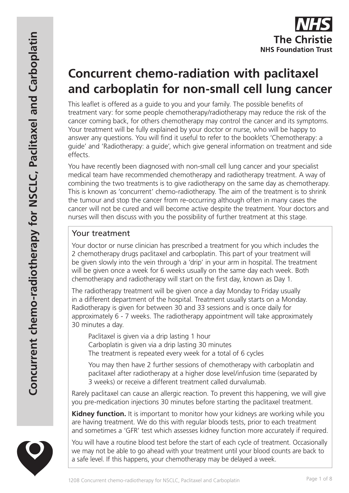

# **Concurrent chemo-radiation with paclitaxel and carboplatin for non-small cell lung cancer**

This leaflet is offered as a guide to you and your family. The possible benefits of treatment vary: for some people chemotherapy/radiotherapy may reduce the risk of the cancer coming back, for others chemotherapy may control the cancer and its symptoms. Your treatment will be fully explained by your doctor or nurse, who will be happy to answer any questions. You will find it useful to refer to the booklets 'Chemotherapy: a guide' and 'Radiotherapy: a guide', which give general information on treatment and side effects.

You have recently been diagnosed with non-small cell lung cancer and your specialist medical team have recommended chemotherapy and radiotherapy treatment. A way of combining the two treatments is to give radiotherapy on the same day as chemotherapy. This is known as 'concurrent' chemo-radiotherapy. The aim of the treatment is to shrink the tumour and stop the cancer from re-occurring although often in many cases the cancer will not be cured and will become active despite the treatment. Your doctors and nurses will then discuss with you the possibility of further treatment at this stage.

## Your treatment

Your doctor or nurse clinician has prescribed a treatment for you which includes the 2 chemotherapy drugs paclitaxel and carboplatin. This part of your treatment will be given slowly into the vein through a 'drip' in your arm in hospital. The treatment will be given once a week for 6 weeks usually on the same day each week. Both chemotherapy and radiotherapy will start on the first day, known as Day 1.

The radiotherapy treatment will be given once a day Monday to Friday usually in a different department of the hospital. Treatment usually starts on a Monday. Radiotherapy is given for between 30 and 33 sessions and is once daily for approximately 6 - 7 weeks. The radiotherapy appointment will take approximately 30 minutes a day.

Paclitaxel is given via a drip lasting 1 hour Carboplatin is given via a drip lasting 30 minutes The treatment is repeated every week for a total of 6 cycles

You may then have 2 further sessions of chemotherapy with carboplatin and paclitaxel after radiotherapy at a higher dose level/infusion time (separated by 3 weeks) or receive a different treatment called durvalumab.

Rarely paclitaxel can cause an allergic reaction. To prevent this happening, we will give you pre-medication injections 30 minutes before starting the paclitaxel treatment.

**Kidney function.** It is important to monitor how your kidneys are working while you are having treatment. We do this with regular bloods tests, prior to each treatment and sometimes a 'GFR' test which assesses kidney function more accurately if required.

You will have a routine blood test before the start of each cycle of treatment. Occasionally we may not be able to go ahead with your treatment until your blood counts are back to a safe level. If this happens, your chemotherapy may be delayed a week.

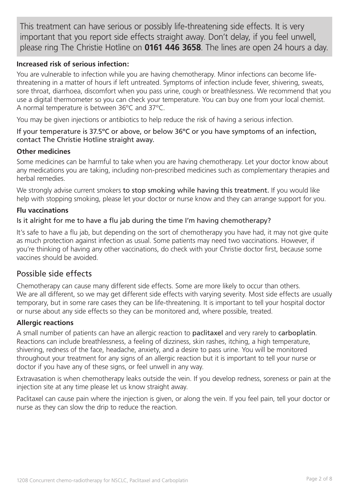This treatment can have serious or possibly life-threatening side effects. It is very important that you report side effects straight away. Don't delay, if you feel unwell, please ring The Christie Hotline on **0161 446 3658**. The lines are open 24 hours a day.

#### **Increased risk of serious infection:**

You are vulnerable to infection while you are having chemotherapy. Minor infections can become lifethreatening in a matter of hours if left untreated. Symptoms of infection include fever, shivering, sweats, sore throat, diarrhoea, discomfort when you pass urine, cough or breathlessness. We recommend that you use a digital thermometer so you can check your temperature. You can buy one from your local chemist. A normal temperature is between 36ºC and 37ºC.

You may be given injections or antibiotics to help reduce the risk of having a serious infection.

#### If your temperature is 37.5ºC or above, or below 36ºC or you have symptoms of an infection, contact The Christie Hotline straight away.

#### **Other medicines**

Some medicines can be harmful to take when you are having chemotherapy. Let your doctor know about any medications you are taking, including non-prescribed medicines such as complementary therapies and herbal remedies.

We strongly advise current smokers to stop smoking while having this treatment. If you would like help with stopping smoking, please let your doctor or nurse know and they can arrange support for you.

#### **Flu vaccinations**

#### Is it alright for me to have a flu jab during the time I'm having chemotherapy?

It's safe to have a flu jab, but depending on the sort of chemotherapy you have had, it may not give quite as much protection against infection as usual. Some patients may need two vaccinations. However, if you're thinking of having any other vaccinations, do check with your Christie doctor first, because some vaccines should be avoided.

## Possible side effects

Chemotherapy can cause many different side effects. Some are more likely to occur than others. We are all different, so we may get different side effects with varying severity. Most side effects are usually temporary, but in some rare cases they can be life-threatening. It is important to tell your hospital doctor or nurse about any side effects so they can be monitored and, where possible, treated.

#### **Allergic reactions**

A small number of patients can have an allergic reaction to paclitaxel and very rarely to carboplatin. Reactions can include breathlessness, a feeling of dizziness, skin rashes, itching, a high temperature, shivering, redness of the face, headache, anxiety, and a desire to pass urine. You will be monitored throughout your treatment for any signs of an allergic reaction but it is important to tell your nurse or doctor if you have any of these signs, or feel unwell in any way.

Extravasation is when chemotherapy leaks outside the vein. If you develop redness, soreness or pain at the injection site at any time please let us know straight away.

Paclitaxel can cause pain where the injection is given, or along the vein. If you feel pain, tell your doctor or nurse as they can slow the drip to reduce the reaction.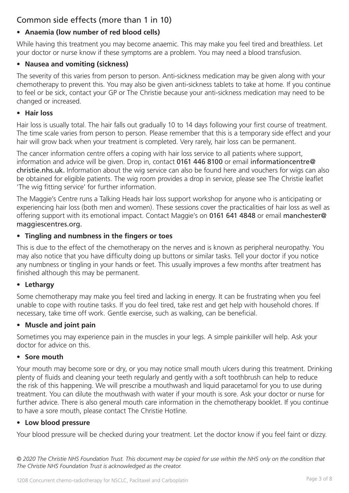# Common side effects (more than 1 in 10)

## **• Anaemia (low number of red blood cells)**

While having this treatment you may become anaemic. This may make you feel tired and breathless. Let your doctor or nurse know if these symptoms are a problem. You may need a blood transfusion.

## **• Nausea and vomiting (sickness)**

The severity of this varies from person to person. Anti-sickness medication may be given along with your chemotherapy to prevent this. You may also be given anti-sickness tablets to take at home. If you continue to feel or be sick, contact your GP or The Christie because your anti-sickness medication may need to be changed or increased.

### **• Hair loss**

Hair loss is usually total. The hair falls out gradually 10 to 14 days following your first course of treatment. The time scale varies from person to person. Please remember that this is a temporary side effect and your hair will grow back when your treatment is completed. Very rarely, hair loss can be permanent.

The cancer information centre offers a coping with hair loss service to all patients where support, information and advice will be given. Drop in, contact 0161 446 8100 or email informationcentre@ christie.nhs.uk. Information about the wig service can also be found here and vouchers for wigs can also be obtained for eligible patients. The wig room provides a drop in service, please see The Christie leaflet 'The wig fitting service' for further information.

The Maggie's Centre runs a Talking Heads hair loss support workshop for anyone who is anticipating or experiencing hair loss (both men and women). These sessions cover the practicalities of hair loss as well as offering support with its emotional impact. Contact Maggie's on 0161 641 4848 or email manchester@ maggiescentres.org.

## **• Tingling and numbness in the fingers or toes**

This is due to the effect of the chemotherapy on the nerves and is known as peripheral neuropathy. You may also notice that you have difficulty doing up buttons or similar tasks. Tell your doctor if you notice any numbness or tingling in your hands or feet. This usually improves a few months after treatment has finished although this may be permanent.

## **• Lethargy**

Some chemotherapy may make you feel tired and lacking in energy. It can be frustrating when you feel unable to cope with routine tasks. If you do feel tired, take rest and get help with household chores. If necessary, take time off work. Gentle exercise, such as walking, can be beneficial.

## **• Muscle and joint pain**

Sometimes you may experience pain in the muscles in your legs. A simple painkiller will help. Ask your doctor for advice on this.

## **• Sore mouth**

Your mouth may become sore or dry, or you may notice small mouth ulcers during this treatment. Drinking plenty of fluids and cleaning your teeth regularly and gently with a soft toothbrush can help to reduce the risk of this happening. We will prescribe a mouthwash and liquid paracetamol for you to use during treatment. You can dilute the mouthwash with water if your mouth is sore. Ask your doctor or nurse for further advice. There is also general mouth care information in the chemotherapy booklet. If you continue to have a sore mouth, please contact The Christie Hotline.

## **• Low blood pressure**

Your blood pressure will be checked during your treatment. Let the doctor know if you feel faint or dizzy.

*© 2020 The Christie NHS Foundation Trust. This document may be copied for use within the NHS only on the condition that The Christie NHS Foundation Trust is acknowledged as the creator.*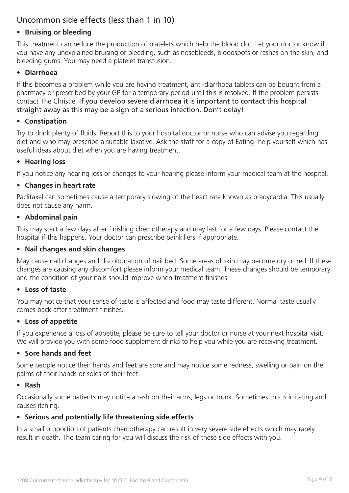# Uncommon side effects (less than 1 in 10)

#### **• Bruising or bleeding**

This treatment can reduce the production of platelets which help the blood clot. Let your doctor know if you have any unexplained bruising or bleeding, such as nosebleeds, bloodspots or rashes on the skin, and bleeding gums. You may need a platelet transfusion.

#### **• Diarrhoea**

If this becomes a problem while you are having treatment, anti-diarrhoea tablets can be bought from a pharmacy or prescribed by your GP for a temporary period until this is resolved. If the problem persists contact The Christie. If you develop severe diarrhoea it is important to contact this hospital straight away as this may be a sign of a serious infection. Don't delay!

#### **• Constipation**

Try to drink plenty of fluids. Report this to your hospital doctor or nurse who can advise you regarding diet and who may prescribe a suitable laxative. Ask the staff for a copy of Eating: help yourself which has useful ideas about diet when you are having treatment.

#### **• Hearing loss**

If you notice any hearing loss or changes to your hearing please inform your medical team at the hospital.

#### **• Changes in heart rate**

Paclitaxel can sometimes cause a temporary slowing of the heart rate known as bradycardia. This usually does not cause any harm.

#### **• Abdominal pain**

This may start a few days after finishing chemotherapy and may last for a few days. Please contact the hospital if this happens. Your doctor can prescribe painkillers if appropriate.

#### **• Nail changes and skin changes**

May cause nail changes and discolouration of nail bed. Some areas of skin may become dry or red. If these changes are causing any discomfort please inform your medical team. These changes should be temporary and the condition of your nails should improve when treatment finishes.

#### **• Loss of taste**

You may notice that your sense of taste is affected and food may taste different. Normal taste usually comes back after treatment finishes.

#### **• Loss of appetite**

If you experience a loss of appetite, please be sure to tell your doctor or nurse at your next hospital visit. We will provide you with some food supplement drinks to help you while you are receiving treatment.

#### **• Sore hands and feet**

Some people notice their hands and feet are sore and may notice some redness, swelling or pain on the palms of their hands or soles of their feet.

#### **• Rash**

Occasionally some patients may notice a rash on their arms, legs or trunk. Sometimes this is irritating and causes itching.

#### **• Serious and potentially life threatening side effects**

In a small proportion of patients chemotherapy can result in very severe side effects which may rarely result in death. The team caring for you will discuss the risk of these side effects with you.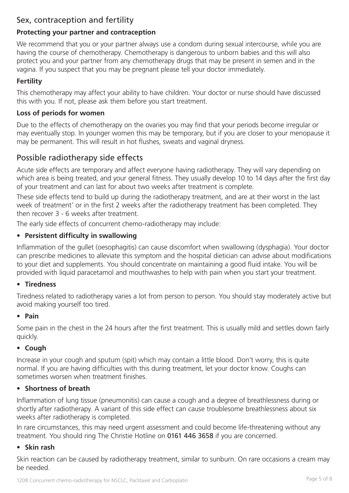# Sex, contraception and fertility

#### **Protecting your partner and contraception**

We recommend that you or your partner always use a condom during sexual intercourse, while you are having the course of chemotherapy. Chemotherapy is dangerous to unborn babies and this will also protect you and your partner from any chemotherapy drugs that may be present in semen and in the vagina. If you suspect that you may be pregnant please tell your doctor immediately.

#### **Fertility**

This chemotherapy may affect your ability to have children. Your doctor or nurse should have discussed this with you. If not, please ask them before you start treatment.

#### **Loss of periods for women**

Due to the effects of chemotherapy on the ovaries you may find that your periods become irregular or may eventually stop. In younger women this may be temporary, but if you are closer to your menopause it may be permanent. This will result in hot flushes, sweats and vaginal dryness.

## Possible radiotherapy side effects

Acute side effects are temporary and affect everyone having radiotherapy. They will vary depending on which area is being treated, and your general fitness. They usually develop 10 to 14 days after the first day of your treatment and can last for about two weeks after treatment is complete.

These side effects tend to build up during the radiotherapy treatment, and are at their worst in the last week of treatment' or in the first 2 weeks after the radiotherapy treatment has been completed. They then recover 3 - 6 weeks after treatment.

The early side effects of concurrent chemo-radiotherapy may include:

#### **• Persistent difficulty in swallowing**

Inflammation of the gullet (oesophagitis) can cause discomfort when swallowing (dysphagia). Your doctor can prescribe medicines to alleviate this symptom and the hospital dietician can advise about modifications to your diet and supplements. You should concentrate on maintaining a good fluid intake. You will be provided with liquid paracetamol and mouthwashes to help with pain when you start your treatment.

#### **• Tiredness**

Tiredness related to radiotherapy varies a lot from person to person. You should stay moderately active but avoid making yourself too tired.

#### **• Pain**

Some pain in the chest in the 24 hours after the first treatment. This is usually mild and settles down fairly quickly.

#### **• Cough**

Increase in your cough and sputum (spit) which may contain a little blood. Don't worry, this is quite normal. If you are having difficulties with this during treatment, let your doctor know. Coughs can sometimes worsen when treatment finishes.

#### **• Shortness of breath**

Inflammation of lung tissue (pneumonitis) can cause a cough and a degree of breathlessness during or shortly after radiotherapy. A variant of this side effect can cause troublesome breathlessness about six weeks after radiotherapy is completed.

In rare circumstances, this may need urgent assessment and could become life-threatening without any treatment. You should ring The Christie Hotline on 0161 446 3658 if you are concerned.

#### **• Skin rash**

Skin reaction can be caused by radiotherapy treatment, similar to sunburn. On rare occasions a cream may be needed.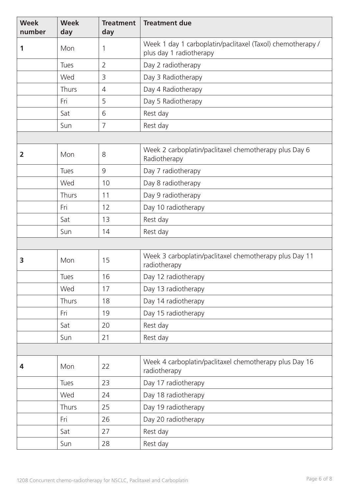| <b>Week</b><br>number | <b>Week</b><br>day | <b>Treatment</b><br>day | <b>Treatment due</b>                                                                  |  |
|-----------------------|--------------------|-------------------------|---------------------------------------------------------------------------------------|--|
| 1                     | Mon                | 1                       | Week 1 day 1 carboplatin/paclitaxel (Taxol) chemotherapy /<br>plus day 1 radiotherapy |  |
|                       | Tues               | $\overline{2}$          | Day 2 radiotherapy                                                                    |  |
|                       | Wed                | 3                       | Day 3 Radiotherapy                                                                    |  |
|                       | Thurs              | $\overline{4}$          | Day 4 Radiotherapy                                                                    |  |
|                       | Fri                | 5                       | Day 5 Radiotherapy                                                                    |  |
|                       | Sat                | 6                       | Rest day                                                                              |  |
|                       | Sun                | $\overline{7}$          | Rest day                                                                              |  |
|                       |                    |                         |                                                                                       |  |
| 2                     | Mon                | 8                       | Week 2 carboplatin/paclitaxel chemotherapy plus Day 6<br>Radiotherapy                 |  |
|                       | Tues               | $\mathcal{G}$           | Day 7 radiotherapy                                                                    |  |
|                       | Wed                | 10                      | Day 8 radiotherapy                                                                    |  |
|                       | Thurs              | 11                      | Day 9 radiotherapy                                                                    |  |
|                       | Fri                | 12                      | Day 10 radiotherapy                                                                   |  |
|                       | Sat                | 13                      | Rest day                                                                              |  |
|                       | Sun                | 14                      | Rest day                                                                              |  |
|                       |                    |                         |                                                                                       |  |
| 3                     | Mon                | 15                      | Week 3 carboplatin/paclitaxel chemotherapy plus Day 11<br>radiotherapy                |  |
|                       | Tues               | 16                      | Day 12 radiotherapy                                                                   |  |
|                       | Wed                | 17                      | Day 13 radiotherapy                                                                   |  |
|                       | Thurs              | 18                      | Day 14 radiotherapy                                                                   |  |
|                       | Fri                | 19                      | Day 15 radiotherapy                                                                   |  |
|                       | Sat                | 20                      | Rest day                                                                              |  |
|                       | Sun                | 21                      | Rest day                                                                              |  |
|                       |                    |                         |                                                                                       |  |
| 4                     | Mon                | 22                      | Week 4 carboplatin/paclitaxel chemotherapy plus Day 16<br>radiotherapy                |  |
|                       | <b>Tues</b>        | 23                      | Day 17 radiotherapy                                                                   |  |
|                       | Wed                | 24                      | Day 18 radiotherapy                                                                   |  |
|                       | Thurs              | 25                      | Day 19 radiotherapy                                                                   |  |
|                       | Fri                | 26                      | Day 20 radiotherapy                                                                   |  |
|                       | Sat                | 27                      | Rest day                                                                              |  |
|                       | Sun                | 28                      | Rest day                                                                              |  |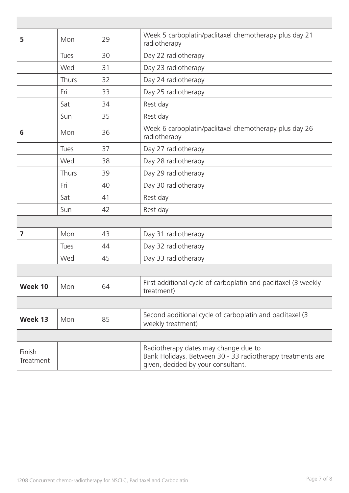| 5                   | Mon         | 29 | Week 5 carboplatin/paclitaxel chemotherapy plus day 21<br>radiotherapy                                                                   |
|---------------------|-------------|----|------------------------------------------------------------------------------------------------------------------------------------------|
|                     | <b>Tues</b> | 30 | Day 22 radiotherapy                                                                                                                      |
|                     | Wed         | 31 | Day 23 radiotherapy                                                                                                                      |
|                     | Thurs       | 32 | Day 24 radiotherapy                                                                                                                      |
|                     | Fri         | 33 | Day 25 radiotherapy                                                                                                                      |
|                     | Sat         | 34 | Rest day                                                                                                                                 |
|                     | Sun         | 35 | Rest day                                                                                                                                 |
| 6                   | Mon         | 36 | Week 6 carboplatin/paclitaxel chemotherapy plus day 26<br>radiotherapy                                                                   |
|                     | Tues        | 37 | Day 27 radiotherapy                                                                                                                      |
|                     | Wed         | 38 | Day 28 radiotherapy                                                                                                                      |
|                     | Thurs       | 39 | Day 29 radiotherapy                                                                                                                      |
|                     | Fri         | 40 | Day 30 radiotherapy                                                                                                                      |
|                     | Sat         | 41 | Rest day                                                                                                                                 |
|                     | Sun         | 42 | Rest day                                                                                                                                 |
|                     |             |    |                                                                                                                                          |
| 7                   | Mon         | 43 | Day 31 radiotherapy                                                                                                                      |
|                     | Tues        | 44 | Day 32 radiotherapy                                                                                                                      |
|                     | Wed         | 45 | Day 33 radiotherapy                                                                                                                      |
|                     |             |    |                                                                                                                                          |
| Week 10             | Mon         | 64 | First additional cycle of carboplatin and paclitaxel (3 weekly<br>treatment)                                                             |
|                     |             |    |                                                                                                                                          |
| Week 13             | Mon         | 85 | Second additional cycle of carboplatin and paclitaxel (3<br>weekly treatment)                                                            |
|                     |             |    |                                                                                                                                          |
| Finish<br>Treatment |             |    | Radiotherapy dates may change due to<br>Bank Holidays. Between 30 - 33 radiotherapy treatments are<br>given, decided by your consultant. |